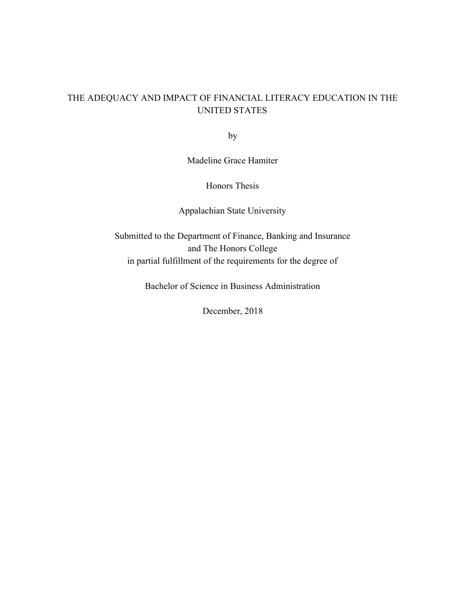# THE ADEQUACY AND IMPACT OF FINANCIAL LITERACY EDUCATION IN THE UNITED STATES

by

Madeline Grace Hamiter

Honors Thesis

Appalachian State University

Submitted to the Department of Finance, Banking and Insurance and The Honors College in partial fulfillment of the requirements for the degree of

Bachelor of Science in Business Administration

December, 2018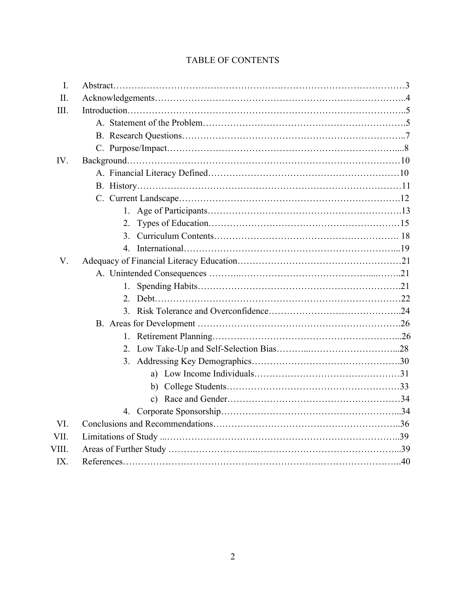| $\mathbf{I}$ . |              |  |
|----------------|--------------|--|
| II.            |              |  |
| III.           |              |  |
|                |              |  |
|                |              |  |
|                |              |  |
| IV.            |              |  |
|                |              |  |
|                |              |  |
|                |              |  |
|                |              |  |
|                |              |  |
|                | 3            |  |
|                |              |  |
| V.             |              |  |
|                |              |  |
|                | $1_{-}$      |  |
|                |              |  |
|                |              |  |
|                |              |  |
|                | $\mathbf{1}$ |  |
|                |              |  |
|                |              |  |
|                |              |  |
|                |              |  |
|                |              |  |
|                |              |  |
| VI.            |              |  |
| VII.           |              |  |
| VIII.          |              |  |
| IX.            |              |  |

# TABLE OF CONTENTS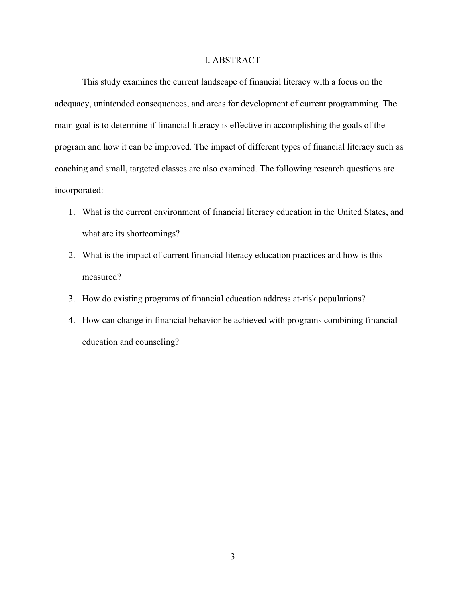# I. ABSTRACT

This study examines the current landscape of financial literacy with a focus on the adequacy, unintended consequences, and areas for development of current programming. The main goal is to determine if financial literacy is effective in accomplishing the goals of the program and how it can be improved. The impact of different types of financial literacy such as coaching and small, targeted classes are also examined. The following research questions are incorporated:

- 1. What is the current environment of financial literacy education in the United States, and what are its shortcomings?
- 2. What is the impact of current financial literacy education practices and how is this measured?
- 3. How do existing programs of financial education address at-risk populations?
- 4. How can change in financial behavior be achieved with programs combining financial education and counseling?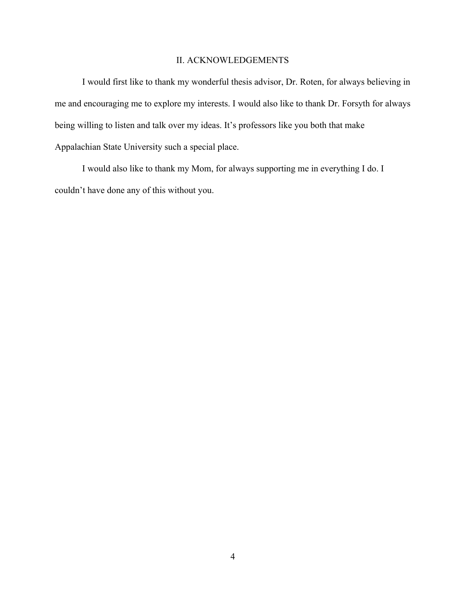# II. ACKNOWLEDGEMENTS

I would first like to thank my wonderful thesis advisor, Dr. Roten, for always believing in me and encouraging me to explore my interests. I would also like to thank Dr. Forsyth for always being willing to listen and talk over my ideas. It's professors like you both that make Appalachian State University such a special place.

I would also like to thank my Mom, for always supporting me in everything I do. I couldn't have done any of this without you.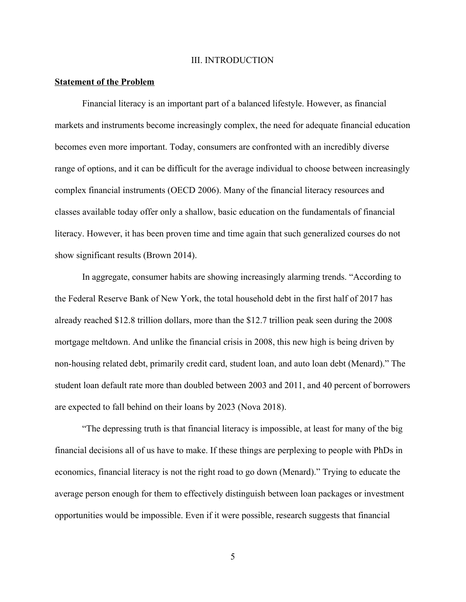#### III. INTRODUCTION

#### **Statement of the Problem**

Financial literacy is an important part of a balanced lifestyle. However, as financial markets and instruments become increasingly complex, the need for adequate financial education becomes even more important. Today, consumers are confronted with an incredibly diverse range of options, and it can be difficult for the average individual to choose between increasingly complex financial instruments (OECD 2006). Many of the financial literacy resources and classes available today offer only a shallow, basic education on the fundamentals of financial literacy. However, it has been proven time and time again that such generalized courses do not show significant results (Brown 2014).

In aggregate, consumer habits are showing increasingly alarming trends. "According to the Federal Reserve Bank of New York, the total household debt in the first half of 2017 has already reached \$12.8 trillion dollars, more than the \$12.7 trillion peak seen during the 2008 mortgage meltdown. And unlike the financial crisis in 2008, this new high is being driven by non-housing related debt, primarily credit card, student loan, and auto loan debt (Menard)." The student loan default rate more than doubled between 2003 and 2011, and 40 percent of borrowers are expected to fall behind on their loans by 2023 (Nova 2018).

"The depressing truth is that financial literacy is impossible, at least for many of the big financial decisions all of us have to make. If these things are perplexing to people with PhDs in economics, financial literacy is not the right road to go down (Menard)." Trying to educate the average person enough for them to effectively distinguish between loan packages or investment opportunities would be impossible. Even if it were possible, research suggests that financial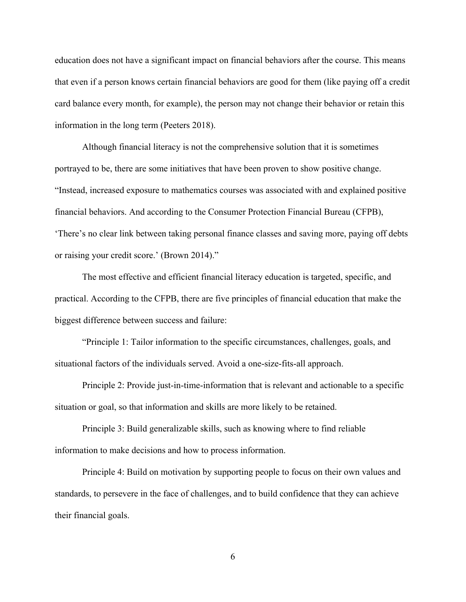education does not have a significant impact on financial behaviors after the course. This means that even if a person knows certain financial behaviors are good for them (like paying off a credit card balance every month, for example), the person may not change their behavior or retain this information in the long term (Peeters 2018).

Although financial literacy is not the comprehensive solution that it is sometimes portrayed to be, there are some initiatives that have been proven to show positive change. "Instead, increased exposure to mathematics courses was associated with and explained positive financial behaviors. And according to the Consumer Protection Financial Bureau (CFPB), 'There's no clear link between taking personal finance classes and saving more, paying off debts or raising your credit score.' (Brown 2014)."

The most effective and efficient financial literacy education is targeted, specific, and practical. According to the CFPB, there are five principles of financial education that make the biggest difference between success and failure:

"Principle 1: Tailor information to the specific circumstances, challenges, goals, and situational factors of the individuals served. Avoid a one-size-fits-all approach.

Principle 2: Provide just-in-time-information that is relevant and actionable to a specific situation or goal, so that information and skills are more likely to be retained.

Principle 3: Build generalizable skills, such as knowing where to find reliable information to make decisions and how to process information.

Principle 4: Build on motivation by supporting people to focus on their own values and standards, to persevere in the face of challenges, and to build confidence that they can achieve their financial goals.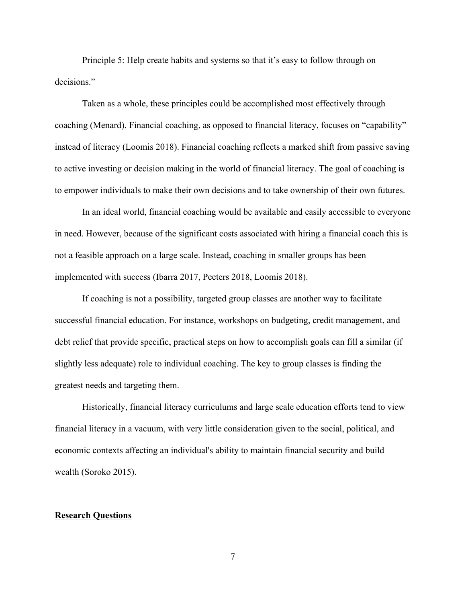Principle 5: Help create habits and systems so that it's easy to follow through on decisions."

Taken as a whole, these principles could be accomplished most effectively through coaching (Menard). Financial coaching, as opposed to financial literacy, focuses on "capability" instead of literacy (Loomis 2018). Financial coaching reflects a marked shift from passive saving to active investing or decision making in the world of financial literacy. The goal of coaching is to empower individuals to make their own decisions and to take ownership of their own futures.

In an ideal world, financial coaching would be available and easily accessible to everyone in need. However, because of the significant costs associated with hiring a financial coach this is not a feasible approach on a large scale. Instead, coaching in smaller groups has been implemented with success (Ibarra 2017, Peeters 2018, Loomis 2018).

If coaching is not a possibility, targeted group classes are another way to facilitate successful financial education. For instance, workshops on budgeting, credit management, and debt relief that provide specific, practical steps on how to accomplish goals can fill a similar (if slightly less adequate) role to individual coaching. The key to group classes is finding the greatest needs and targeting them.

Historically, financial literacy curriculums and large scale education efforts tend to view financial literacy in a vacuum, with very little consideration given to the social, political, and economic contexts affecting an individual's ability to maintain financial security and build wealth (Soroko 2015).

#### **Research Questions**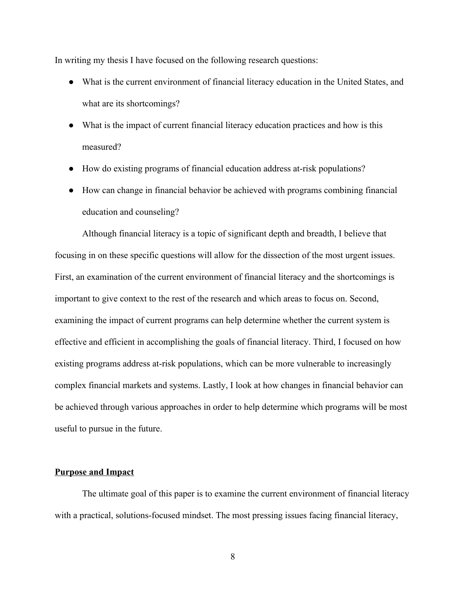In writing my thesis I have focused on the following research questions:

- What is the current environment of financial literacy education in the United States, and what are its shortcomings?
- What is the impact of current financial literacy education practices and how is this measured?
- How do existing programs of financial education address at-risk populations?
- How can change in financial behavior be achieved with programs combining financial education and counseling?

Although financial literacy is a topic of significant depth and breadth, I believe that focusing in on these specific questions will allow for the dissection of the most urgent issues. First, an examination of the current environment of financial literacy and the shortcomings is important to give context to the rest of the research and which areas to focus on. Second, examining the impact of current programs can help determine whether the current system is effective and efficient in accomplishing the goals of financial literacy. Third, I focused on how existing programs address at-risk populations, which can be more vulnerable to increasingly complex financial markets and systems. Lastly, I look at how changes in financial behavior can be achieved through various approaches in order to help determine which programs will be most useful to pursue in the future.

# **Purpose and Impact**

The ultimate goal of this paper is to examine the current environment of financial literacy with a practical, solutions-focused mindset. The most pressing issues facing financial literacy,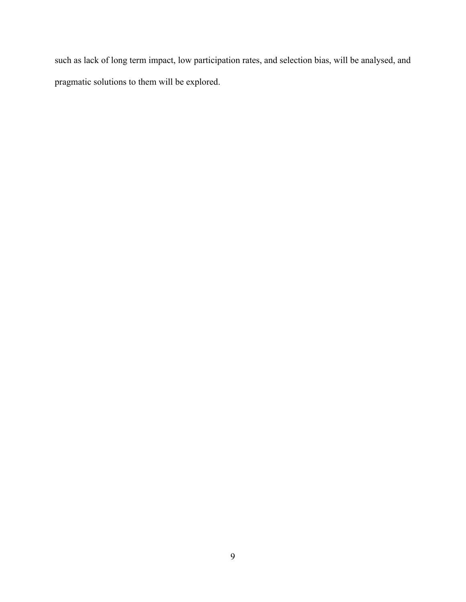such as lack of long term impact, low participation rates, and selection bias, will be analysed, and pragmatic solutions to them will be explored.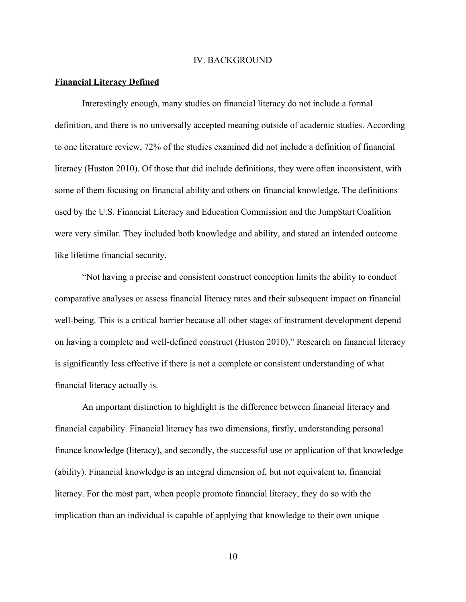#### IV. BACKGROUND

#### **Financial Literacy Defined**

Interestingly enough, many studies on financial literacy do not include a formal definition, and there is no universally accepted meaning outside of academic studies. According to one literature review, 72% of the studies examined did not include a definition of financial literacy (Huston 2010). Of those that did include definitions, they were often inconsistent, with some of them focusing on financial ability and others on financial knowledge. The definitions used by the U.S. Financial Literacy and Education Commission and the Jump\$tart Coalition were very similar. They included both knowledge and ability, and stated an intended outcome like lifetime financial security.

"Not having a precise and consistent construct conception limits the ability to conduct comparative analyses or assess financial literacy rates and their subsequent impact on financial well-being. This is a critical barrier because all other stages of instrument development depend on having a complete and well-defined construct (Huston 2010)." Research on financial literacy is significantly less effective if there is not a complete or consistent understanding of what financial literacy actually is.

An important distinction to highlight is the difference between financial literacy and financial capability. Financial literacy has two dimensions, firstly, understanding personal finance knowledge (literacy), and secondly, the successful use or application of that knowledge (ability). Financial knowledge is an integral dimension of, but not equivalent to, financial literacy. For the most part, when people promote financial literacy, they do so with the implication than an individual is capable of applying that knowledge to their own unique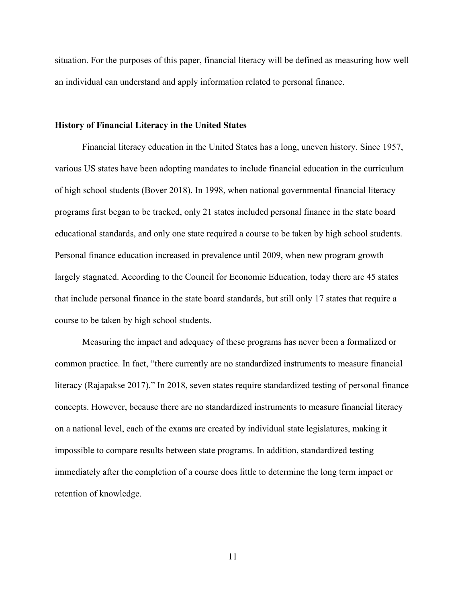situation. For the purposes of this paper, financial literacy will be defined as measuring how well an individual can understand and apply information related to personal finance.

### **History of Financial Literacy in the United States**

Financial literacy education in the United States has a long, uneven history. Since 1957, various US states have been adopting mandates to include financial education in the curriculum of high school students (Bover 2018). In 1998, when national governmental financial literacy programs first began to be tracked, only 21 states included personal finance in the state board educational standards, and only one state required a course to be taken by high school students. Personal finance education increased in prevalence until 2009, when new program growth largely stagnated. According to the Council for Economic Education, today there are 45 states that include personal finance in the state board standards, but still only 17 states that require a course to be taken by high school students.

Measuring the impact and adequacy of these programs has never been a formalized or common practice. In fact, "there currently are no standardized instruments to measure financial literacy (Rajapakse 2017)." In 2018, seven states require standardized testing of personal finance concepts. However, because there are no standardized instruments to measure financial literacy on a national level, each of the exams are created by individual state legislatures, making it impossible to compare results between state programs. In addition, standardized testing immediately after the completion of a course does little to determine the long term impact or retention of knowledge.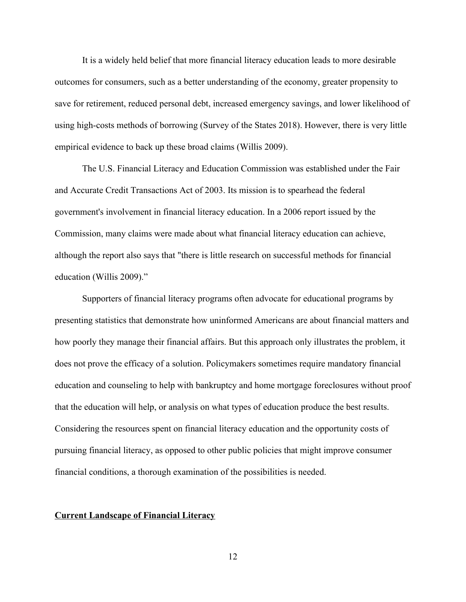It is a widely held belief that more financial literacy education leads to more desirable outcomes for consumers, such as a better understanding of the economy, greater propensity to save for retirement, reduced personal debt, increased emergency savings, and lower likelihood of using high-costs methods of borrowing (Survey of the States 2018). However, there is very little empirical evidence to back up these broad claims (Willis 2009).

The U.S. Financial Literacy and Education Commission was established under the Fair and Accurate Credit Transactions Act of 2003. Its mission is to spearhead the federal government's involvement in financial literacy education. In a 2006 report issued by the Commission, many claims were made about what financial literacy education can achieve, although the report also says that "there is little research on successful methods for financial education (Willis 2009)."

Supporters of financial literacy programs often advocate for educational programs by presenting statistics that demonstrate how uninformed Americans are about financial matters and how poorly they manage their financial affairs. But this approach only illustrates the problem, it does not prove the efficacy of a solution. Policymakers sometimes require mandatory financial education and counseling to help with bankruptcy and home mortgage foreclosures without proof that the education will help, or analysis on what types of education produce the best results. Considering the resources spent on financial literacy education and the opportunity costs of pursuing financial literacy, as opposed to other public policies that might improve consumer financial conditions, a thorough examination of the possibilities is needed.

#### **Current Landscape of Financial Literacy**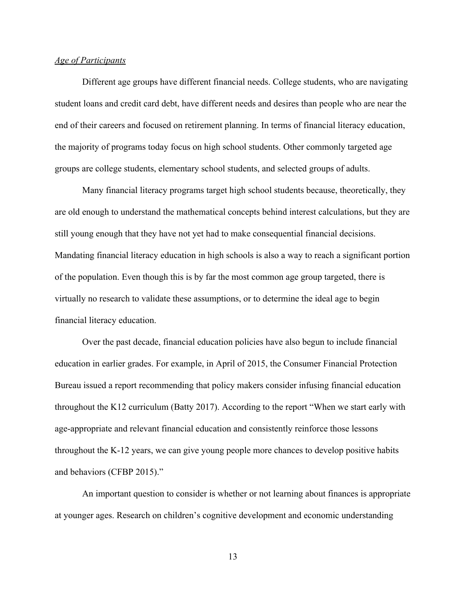## *Age of Participants*

Different age groups have different financial needs. College students, who are navigating student loans and credit card debt, have different needs and desires than people who are near the end of their careers and focused on retirement planning. In terms of financial literacy education, the majority of programs today focus on high school students. Other commonly targeted age groups are college students, elementary school students, and selected groups of adults.

Many financial literacy programs target high school students because, theoretically, they are old enough to understand the mathematical concepts behind interest calculations, but they are still young enough that they have not yet had to make consequential financial decisions. Mandating financial literacy education in high schools is also a way to reach a significant portion of the population. Even though this is by far the most common age group targeted, there is virtually no research to validate these assumptions, or to determine the ideal age to begin financial literacy education.

Over the past decade, financial education policies have also begun to include financial education in earlier grades. For example, in April of 2015, the Consumer Financial Protection Bureau issued a report recommending that policy makers consider infusing financial education throughout the K12 curriculum (Batty 2017). According to the report "When we start early with age-appropriate and relevant financial education and consistently reinforce those lessons throughout the K-12 years, we can give young people more chances to develop positive habits and behaviors (CFBP 2015)."

An important question to consider is whether or not learning about finances is appropriate at younger ages. Research on children's cognitive development and economic understanding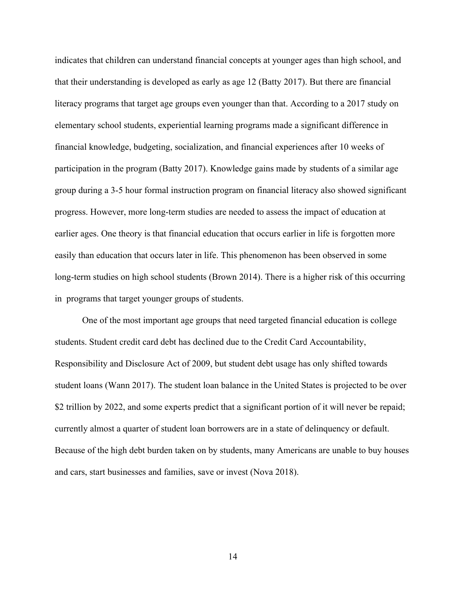indicates that children can understand financial concepts at younger ages than high school, and that their understanding is developed as early as age 12 (Batty 2017). But there are financial literacy programs that target age groups even younger than that. According to a 2017 study on elementary school students, experiential learning programs made a significant difference in financial knowledge, budgeting, socialization, and financial experiences after 10 weeks of participation in the program (Batty 2017). Knowledge gains made by students of a similar age group during a 3-5 hour formal instruction program on financial literacy also showed significant progress. However, more long-term studies are needed to assess the impact of education at earlier ages. One theory is that financial education that occurs earlier in life is forgotten more easily than education that occurs later in life. This phenomenon has been observed in some long-term studies on high school students (Brown 2014). There is a higher risk of this occurring in programs that target younger groups of students.

One of the most important age groups that need targeted financial education is college students. Student credit card debt has declined due to the Credit Card Accountability, Responsibility and Disclosure Act of 2009, but student debt usage has only shifted towards student loans (Wann 2017). The student loan balance in the United States is projected to be over \$2 trillion by 2022, and some experts predict that a significant portion of it will never be repaid; currently almost a quarter of student loan borrowers are in a state of delinquency or default. Because of the high debt burden taken on by students, many Americans are unable to buy houses and cars, start businesses and families, save or invest (Nova 2018).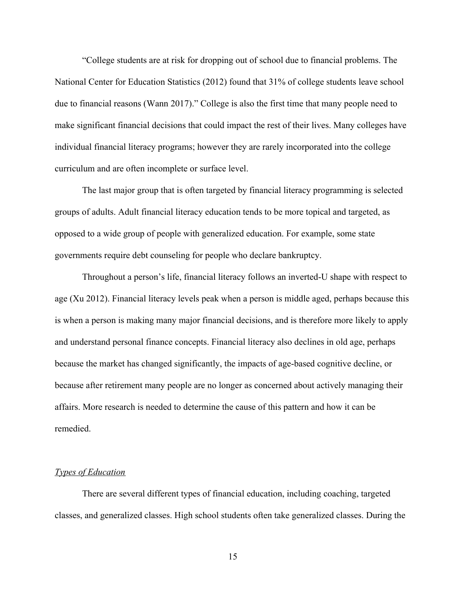"College students are at risk for dropping out of school due to financial problems. The National Center for Education Statistics (2012) found that 31% of college students leave school due to financial reasons (Wann 2017)." College is also the first time that many people need to make significant financial decisions that could impact the rest of their lives. Many colleges have individual financial literacy programs; however they are rarely incorporated into the college curriculum and are often incomplete or surface level.

The last major group that is often targeted by financial literacy programming is selected groups of adults. Adult financial literacy education tends to be more topical and targeted, as opposed to a wide group of people with generalized education. For example, some state governments require debt counseling for people who declare bankruptcy.

Throughout a person's life, financial literacy follows an inverted-U shape with respect to age (Xu 2012). Financial literacy levels peak when a person is middle aged, perhaps because this is when a person is making many major financial decisions, and is therefore more likely to apply and understand personal finance concepts. Financial literacy also declines in old age, perhaps because the market has changed significantly, the impacts of age-based cognitive decline, or because after retirement many people are no longer as concerned about actively managing their affairs. More research is needed to determine the cause of this pattern and how it can be remedied.

# *Types of Education*

There are several different types of financial education, including coaching, targeted classes, and generalized classes. High school students often take generalized classes. During the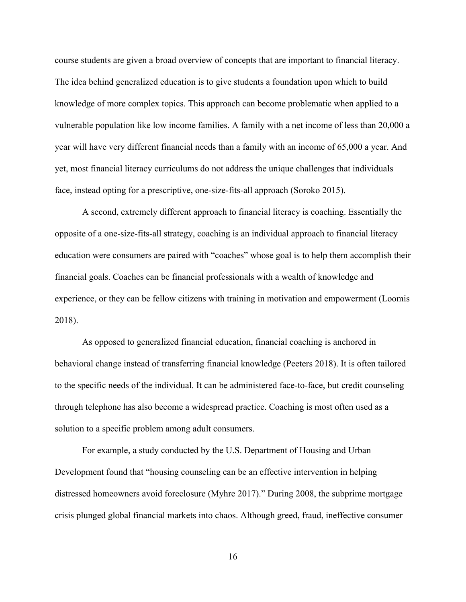course students are given a broad overview of concepts that are important to financial literacy. The idea behind generalized education is to give students a foundation upon which to build knowledge of more complex topics. This approach can become problematic when applied to a vulnerable population like low income families. A family with a net income of less than 20,000 a year will have very different financial needs than a family with an income of 65,000 a year. And yet, most financial literacy curriculums do not address the unique challenges that individuals face, instead opting for a prescriptive, one-size-fits-all approach (Soroko 2015).

A second, extremely different approach to financial literacy is coaching. Essentially the opposite of a one-size-fits-all strategy, coaching is an individual approach to financial literacy education were consumers are paired with "coaches" whose goal is to help them accomplish their financial goals. Coaches can be financial professionals with a wealth of knowledge and experience, or they can be fellow citizens with training in motivation and empowerment (Loomis 2018).

As opposed to generalized financial education, financial coaching is anchored in behavioral change instead of transferring financial knowledge (Peeters 2018). It is often tailored to the specific needs of the individual. It can be administered face-to-face, but credit counseling through telephone has also become a widespread practice. Coaching is most often used as a solution to a specific problem among adult consumers.

For example, a study conducted by the U.S. Department of Housing and Urban Development found that "housing counseling can be an effective intervention in helping distressed homeowners avoid foreclosure (Myhre 2017)." During 2008, the subprime mortgage crisis plunged global financial markets into chaos. Although greed, fraud, ineffective consumer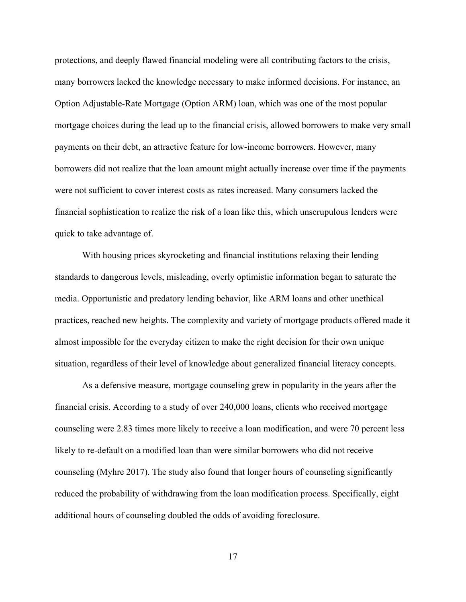protections, and deeply flawed financial modeling were all contributing factors to the crisis, many borrowers lacked the knowledge necessary to make informed decisions. For instance, an Option Adjustable-Rate Mortgage (Option ARM) loan, which was one of the most popular mortgage choices during the lead up to the financial crisis, allowed borrowers to make very small payments on their debt, an attractive feature for low-income borrowers. However, many borrowers did not realize that the loan amount might actually increase over time if the payments were not sufficient to cover interest costs as rates increased. Many consumers lacked the financial sophistication to realize the risk of a loan like this, which unscrupulous lenders were quick to take advantage of.

With housing prices skyrocketing and financial institutions relaxing their lending standards to dangerous levels, misleading, overly optimistic information began to saturate the media. Opportunistic and predatory lending behavior, like ARM loans and other unethical practices, reached new heights. The complexity and variety of mortgage products offered made it almost impossible for the everyday citizen to make the right decision for their own unique situation, regardless of their level of knowledge about generalized financial literacy concepts.

As a defensive measure, mortgage counseling grew in popularity in the years after the financial crisis. According to a study of over 240,000 loans, clients who received mortgage counseling were 2.83 times more likely to receive a loan modification, and were 70 percent less likely to re-default on a modified loan than were similar borrowers who did not receive counseling (Myhre 2017). The study also found that longer hours of counseling significantly reduced the probability of withdrawing from the loan modification process. Specifically, eight additional hours of counseling doubled the odds of avoiding foreclosure.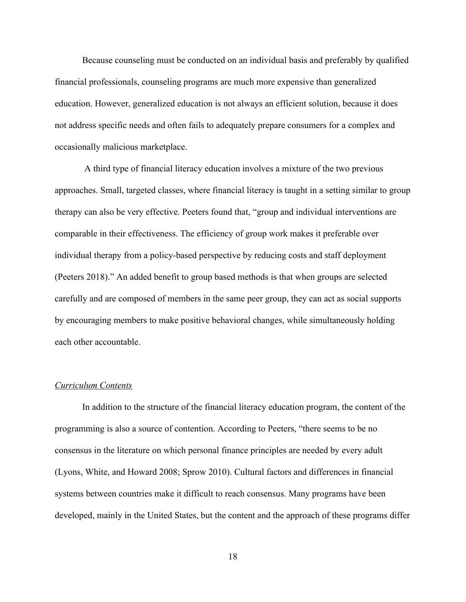Because counseling must be conducted on an individual basis and preferably by qualified financial professionals, counseling programs are much more expensive than generalized education. However, generalized education is not always an efficient solution, because it does not address specific needs and often fails to adequately prepare consumers for a complex and occasionally malicious marketplace.

 A third type of financial literacy education involves a mixture of the two previous approaches. Small, targeted classes, where financial literacy is taught in a setting similar to group therapy can also be very effective. Peeters found that, "group and individual interventions are comparable in their effectiveness. The efficiency of group work makes it preferable over individual therapy from a policy-based perspective by reducing costs and staff deployment (Peeters 2018)." An added benefit to group based methods is that when groups are selected carefully and are composed of members in the same peer group, they can act as social supports by encouraging members to make positive behavioral changes, while simultaneously holding each other accountable.

#### *Curriculum Contents*

In addition to the structure of the financial literacy education program, the content of the programming is also a source of contention. According to Peeters, "there seems to be no consensus in the literature on which personal finance principles are needed by every adult (Lyons, White, and Howard 2008; Sprow 2010). Cultural factors and differences in financial systems between countries make it difficult to reach consensus. Many programs have been developed, mainly in the United States, but the content and the approach of these programs differ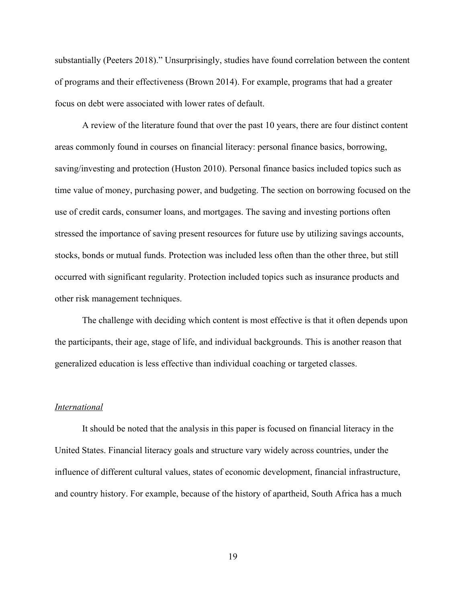substantially (Peeters 2018)." Unsurprisingly, studies have found correlation between the content of programs and their effectiveness (Brown 2014). For example, programs that had a greater focus on debt were associated with lower rates of default.

A review of the literature found that over the past 10 years, there are four distinct content areas commonly found in courses on financial literacy: personal finance basics, borrowing, saving/investing and protection (Huston 2010). Personal finance basics included topics such as time value of money, purchasing power, and budgeting. The section on borrowing focused on the use of credit cards, consumer loans, and mortgages. The saving and investing portions often stressed the importance of saving present resources for future use by utilizing savings accounts, stocks, bonds or mutual funds. Protection was included less often than the other three, but still occurred with significant regularity. Protection included topics such as insurance products and other risk management techniques.

The challenge with deciding which content is most effective is that it often depends upon the participants, their age, stage of life, and individual backgrounds. This is another reason that generalized education is less effective than individual coaching or targeted classes.

# *International*

It should be noted that the analysis in this paper is focused on financial literacy in the United States. Financial literacy goals and structure vary widely across countries, under the influence of different cultural values, states of economic development, financial infrastructure, and country history. For example, because of the history of apartheid, South Africa has a much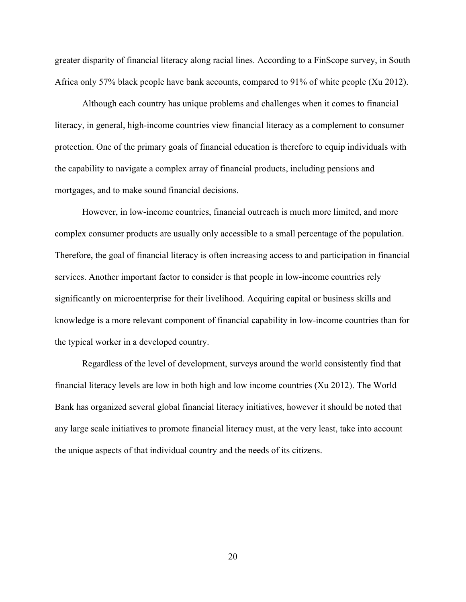greater disparity of financial literacy along racial lines. According to a FinScope survey, in South Africa only 57% black people have bank accounts, compared to 91% of white people (Xu 2012).

Although each country has unique problems and challenges when it comes to financial literacy, in general, high-income countries view financial literacy as a complement to consumer protection. One of the primary goals of financial education is therefore to equip individuals with the capability to navigate a complex array of financial products, including pensions and mortgages, and to make sound financial decisions.

However, in low-income countries, financial outreach is much more limited, and more complex consumer products are usually only accessible to a small percentage of the population. Therefore, the goal of financial literacy is often increasing access to and participation in financial services. Another important factor to consider is that people in low-income countries rely significantly on microenterprise for their livelihood. Acquiring capital or business skills and knowledge is a more relevant component of financial capability in low-income countries than for the typical worker in a developed country.

Regardless of the level of development, surveys around the world consistently find that financial literacy levels are low in both high and low income countries (Xu 2012). The World Bank has organized several global financial literacy initiatives, however it should be noted that any large scale initiatives to promote financial literacy must, at the very least, take into account the unique aspects of that individual country and the needs of its citizens.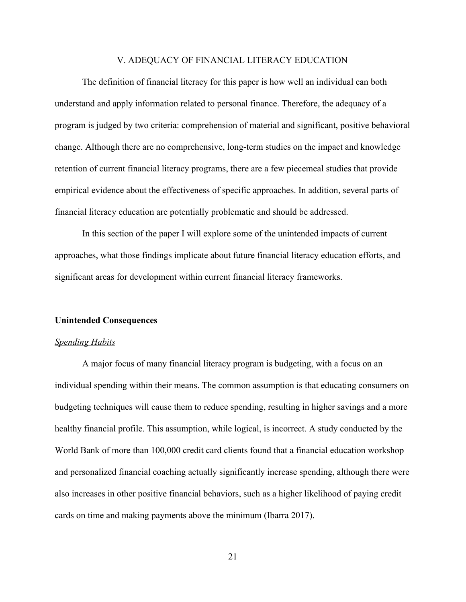#### V. ADEQUACY OF FINANCIAL LITERACY EDUCATION

The definition of financial literacy for this paper is how well an individual can both understand and apply information related to personal finance. Therefore, the adequacy of a program is judged by two criteria: comprehension of material and significant, positive behavioral change. Although there are no comprehensive, long-term studies on the impact and knowledge retention of current financial literacy programs, there are a few piecemeal studies that provide empirical evidence about the effectiveness of specific approaches. In addition, several parts of financial literacy education are potentially problematic and should be addressed.

In this section of the paper I will explore some of the unintended impacts of current approaches, what those findings implicate about future financial literacy education efforts, and significant areas for development within current financial literacy frameworks.

#### **Unintended Consequences**

#### *Spending Habits*

A major focus of many financial literacy program is budgeting, with a focus on an individual spending within their means. The common assumption is that educating consumers on budgeting techniques will cause them to reduce spending, resulting in higher savings and a more healthy financial profile. This assumption, while logical, is incorrect. A study conducted by the World Bank of more than 100,000 credit card clients found that a financial education workshop and personalized financial coaching actually significantly increase spending, although there were also increases in other positive financial behaviors, such as a higher likelihood of paying credit cards on time and making payments above the minimum (Ibarra 2017).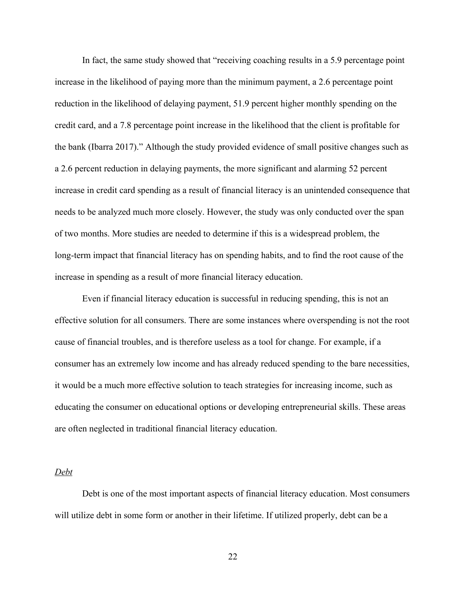In fact, the same study showed that "receiving coaching results in a 5.9 percentage point increase in the likelihood of paying more than the minimum payment, a 2.6 percentage point reduction in the likelihood of delaying payment, 51.9 percent higher monthly spending on the credit card, and a 7.8 percentage point increase in the likelihood that the client is profitable for the bank (Ibarra 2017)." Although the study provided evidence of small positive changes such as a 2.6 percent reduction in delaying payments, the more significant and alarming 52 percent increase in credit card spending as a result of financial literacy is an unintended consequence that needs to be analyzed much more closely. However, the study was only conducted over the span of two months. More studies are needed to determine if this is a widespread problem, the long-term impact that financial literacy has on spending habits, and to find the root cause of the increase in spending as a result of more financial literacy education.

Even if financial literacy education is successful in reducing spending, this is not an effective solution for all consumers. There are some instances where overspending is not the root cause of financial troubles, and is therefore useless as a tool for change. For example, if a consumer has an extremely low income and has already reduced spending to the bare necessities, it would be a much more effective solution to teach strategies for increasing income, such as educating the consumer on educational options or developing entrepreneurial skills. These areas are often neglected in traditional financial literacy education.

#### *Debt*

Debt is one of the most important aspects of financial literacy education. Most consumers will utilize debt in some form or another in their lifetime. If utilized properly, debt can be a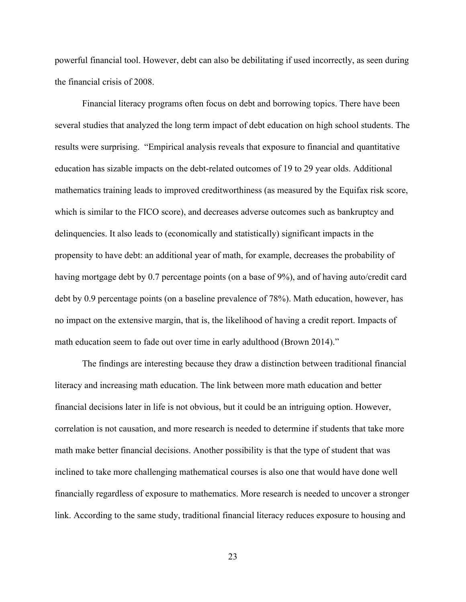powerful financial tool. However, debt can also be debilitating if used incorrectly, as seen during the financial crisis of 2008.

Financial literacy programs often focus on debt and borrowing topics. There have been several studies that analyzed the long term impact of debt education on high school students. The results were surprising. "Empirical analysis reveals that exposure to financial and quantitative education has sizable impacts on the debt-related outcomes of 19 to 29 year olds. Additional mathematics training leads to improved creditworthiness (as measured by the Equifax risk score, which is similar to the FICO score), and decreases adverse outcomes such as bankruptcy and delinquencies. It also leads to (economically and statistically) significant impacts in the propensity to have debt: an additional year of math, for example, decreases the probability of having mortgage debt by 0.7 percentage points (on a base of 9%), and of having auto/credit card debt by 0.9 percentage points (on a baseline prevalence of 78%). Math education, however, has no impact on the extensive margin, that is, the likelihood of having a credit report. Impacts of math education seem to fade out over time in early adulthood (Brown 2014)."

The findings are interesting because they draw a distinction between traditional financial literacy and increasing math education. The link between more math education and better financial decisions later in life is not obvious, but it could be an intriguing option. However, correlation is not causation, and more research is needed to determine if students that take more math make better financial decisions. Another possibility is that the type of student that was inclined to take more challenging mathematical courses is also one that would have done well financially regardless of exposure to mathematics. More research is needed to uncover a stronger link. According to the same study, traditional financial literacy reduces exposure to housing and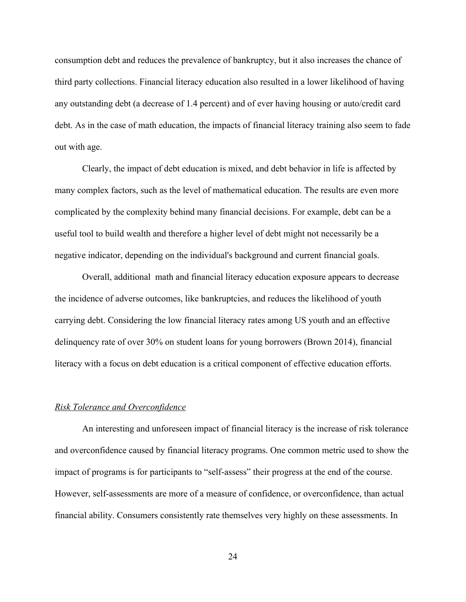consumption debt and reduces the prevalence of bankruptcy, but it also increases the chance of third party collections. Financial literacy education also resulted in a lower likelihood of having any outstanding debt (a decrease of 1.4 percent) and of ever having housing or auto/credit card debt. As in the case of math education, the impacts of financial literacy training also seem to fade out with age.

Clearly, the impact of debt education is mixed, and debt behavior in life is affected by many complex factors, such as the level of mathematical education. The results are even more complicated by the complexity behind many financial decisions. For example, debt can be a useful tool to build wealth and therefore a higher level of debt might not necessarily be a negative indicator, depending on the individual's background and current financial goals.

Overall, additional math and financial literacy education exposure appears to decrease the incidence of adverse outcomes, like bankruptcies, and reduces the likelihood of youth carrying debt. Considering the low financial literacy rates among US youth and an effective delinquency rate of over 30% on student loans for young borrowers (Brown 2014), financial literacy with a focus on debt education is a critical component of effective education efforts.

# *Risk Tolerance and Overconfidence*

An interesting and unforeseen impact of financial literacy is the increase of risk tolerance and overconfidence caused by financial literacy programs. One common metric used to show the impact of programs is for participants to "self-assess" their progress at the end of the course. However, self-assessments are more of a measure of confidence, or overconfidence, than actual financial ability. Consumers consistently rate themselves very highly on these assessments. In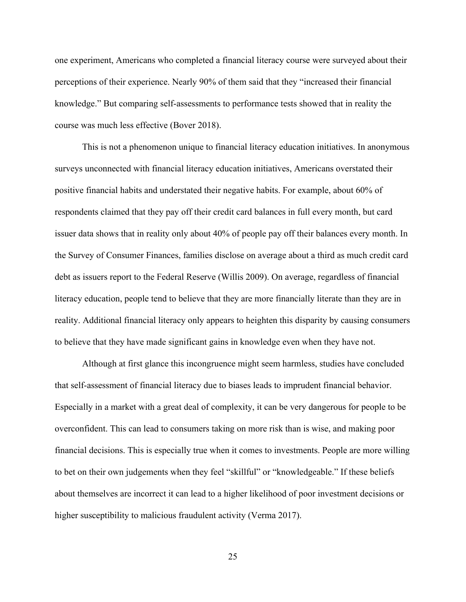one experiment, Americans who completed a financial literacy course were surveyed about their perceptions of their experience. Nearly 90% of them said that they "increased their financial knowledge." But comparing self-assessments to performance tests showed that in reality the course was much less effective (Bover 2018).

This is not a phenomenon unique to financial literacy education initiatives. In anonymous surveys unconnected with financial literacy education initiatives, Americans overstated their positive financial habits and understated their negative habits. For example, about 60% of respondents claimed that they pay off their credit card balances in full every month, but card issuer data shows that in reality only about 40% of people pay off their balances every month. In the Survey of Consumer Finances, families disclose on average about a third as much credit card debt as issuers report to the Federal Reserve (Willis 2009). On average, regardless of financial literacy education, people tend to believe that they are more financially literate than they are in reality. Additional financial literacy only appears to heighten this disparity by causing consumers to believe that they have made significant gains in knowledge even when they have not.

Although at first glance this incongruence might seem harmless, studies have concluded that self-assessment of financial literacy due to biases leads to imprudent financial behavior. Especially in a market with a great deal of complexity, it can be very dangerous for people to be overconfident. This can lead to consumers taking on more risk than is wise, and making poor financial decisions. This is especially true when it comes to investments. People are more willing to bet on their own judgements when they feel "skillful" or "knowledgeable." If these beliefs about themselves are incorrect it can lead to a higher likelihood of poor investment decisions or higher susceptibility to malicious fraudulent activity (Verma 2017).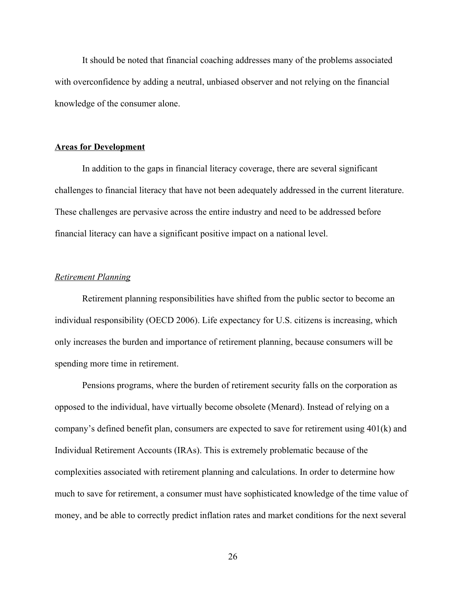It should be noted that financial coaching addresses many of the problems associated with overconfidence by adding a neutral, unbiased observer and not relying on the financial knowledge of the consumer alone.

## **Areas for Development**

In addition to the gaps in financial literacy coverage, there are several significant challenges to financial literacy that have not been adequately addressed in the current literature. These challenges are pervasive across the entire industry and need to be addressed before financial literacy can have a significant positive impact on a national level.

## *Retirement Planning*

Retirement planning responsibilities have shifted from the public sector to become an individual responsibility (OECD 2006). Life expectancy for U.S. citizens is increasing, which only increases the burden and importance of retirement planning, because consumers will be spending more time in retirement.

Pensions programs, where the burden of retirement security falls on the corporation as opposed to the individual, have virtually become obsolete (Menard). Instead of relying on a company's defined benefit plan, consumers are expected to save for retirement using 401(k) and Individual Retirement Accounts (IRAs). This is extremely problematic because of the complexities associated with retirement planning and calculations. In order to determine how much to save for retirement, a consumer must have sophisticated knowledge of the time value of money, and be able to correctly predict inflation rates and market conditions for the next several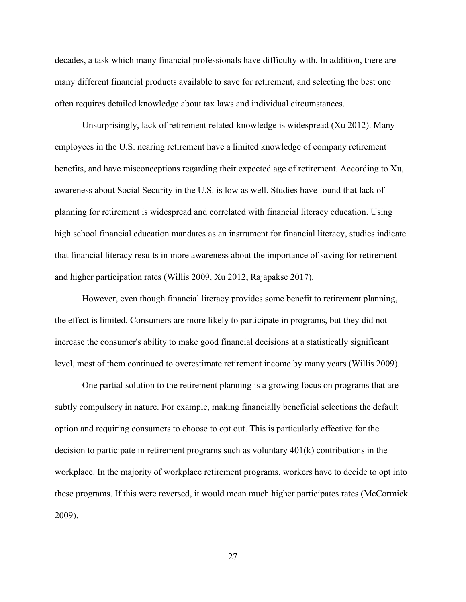decades, a task which many financial professionals have difficulty with. In addition, there are many different financial products available to save for retirement, and selecting the best one often requires detailed knowledge about tax laws and individual circumstances.

Unsurprisingly, lack of retirement related-knowledge is widespread (Xu 2012). Many employees in the U.S. nearing retirement have a limited knowledge of company retirement benefits, and have misconceptions regarding their expected age of retirement. According to Xu, awareness about Social Security in the U.S. is low as well. Studies have found that lack of planning for retirement is widespread and correlated with financial literacy education. Using high school financial education mandates as an instrument for financial literacy, studies indicate that financial literacy results in more awareness about the importance of saving for retirement and higher participation rates (Willis 2009, Xu 2012, Rajapakse 2017).

However, even though financial literacy provides some benefit to retirement planning, the effect is limited. Consumers are more likely to participate in programs, but they did not increase the consumer's ability to make good financial decisions at a statistically significant level, most of them continued to overestimate retirement income by many years (Willis 2009).

One partial solution to the retirement planning is a growing focus on programs that are subtly compulsory in nature. For example, making financially beneficial selections the default option and requiring consumers to choose to opt out. This is particularly effective for the decision to participate in retirement programs such as voluntary 401(k) contributions in the workplace. In the majority of workplace retirement programs, workers have to decide to opt into these programs. If this were reversed, it would mean much higher participates rates (McCormick 2009).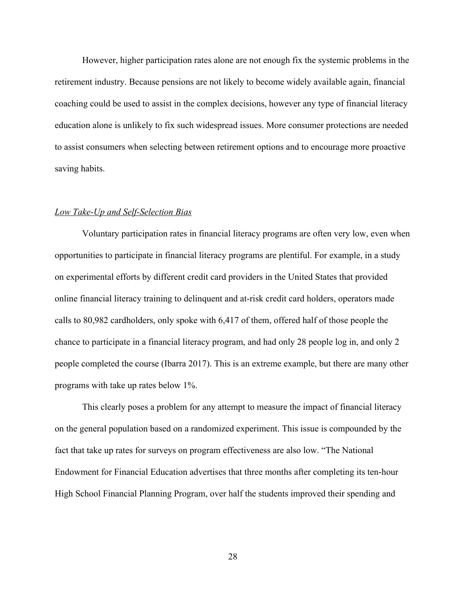However, higher participation rates alone are not enough fix the systemic problems in the retirement industry. Because pensions are not likely to become widely available again, financial coaching could be used to assist in the complex decisions, however any type of financial literacy education alone is unlikely to fix such widespread issues. More consumer protections are needed to assist consumers when selecting between retirement options and to encourage more proactive saving habits.

#### *Low Take-Up and Self-Selection Bias*

Voluntary participation rates in financial literacy programs are often very low, even when opportunities to participate in financial literacy programs are plentiful. For example, in a study on experimental efforts by different credit card providers in the United States that provided online financial literacy training to delinquent and at-risk credit card holders, operators made calls to 80,982 cardholders, only spoke with 6,417 of them, offered half of those people the chance to participate in a financial literacy program, and had only 28 people log in, and only 2 people completed the course (Ibarra 2017). This is an extreme example, but there are many other programs with take up rates below 1%.

This clearly poses a problem for any attempt to measure the impact of financial literacy on the general population based on a randomized experiment. This issue is compounded by the fact that take up rates for surveys on program effectiveness are also low. "The National Endowment for Financial Education advertises that three months after completing its ten-hour High School Financial Planning Program, over half the students improved their spending and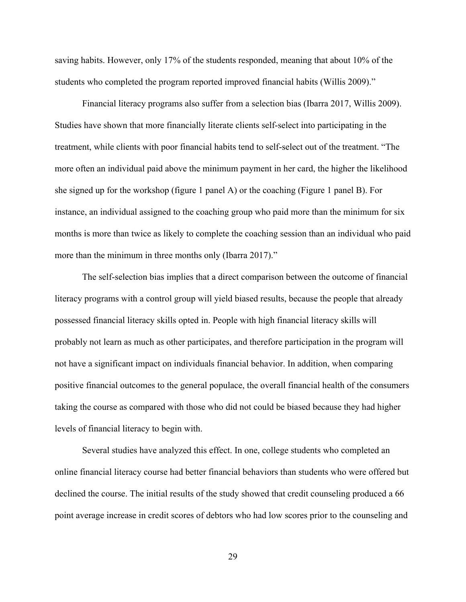saving habits. However, only 17% of the students responded, meaning that about 10% of the students who completed the program reported improved financial habits (Willis 2009)."

Financial literacy programs also suffer from a selection bias (Ibarra 2017, Willis 2009). Studies have shown that more financially literate clients self-select into participating in the treatment, while clients with poor financial habits tend to self-select out of the treatment. "The more often an individual paid above the minimum payment in her card, the higher the likelihood she signed up for the workshop (figure 1 panel A) or the coaching (Figure 1 panel B). For instance, an individual assigned to the coaching group who paid more than the minimum for six months is more than twice as likely to complete the coaching session than an individual who paid more than the minimum in three months only (Ibarra 2017)."

The self-selection bias implies that a direct comparison between the outcome of financial literacy programs with a control group will yield biased results, because the people that already possessed financial literacy skills opted in. People with high financial literacy skills will probably not learn as much as other participates, and therefore participation in the program will not have a significant impact on individuals financial behavior. In addition, when comparing positive financial outcomes to the general populace, the overall financial health of the consumers taking the course as compared with those who did not could be biased because they had higher levels of financial literacy to begin with.

Several studies have analyzed this effect. In one, college students who completed an online financial literacy course had better financial behaviors than students who were offered but declined the course. The initial results of the study showed that credit counseling produced a 66 point average increase in credit scores of debtors who had low scores prior to the counseling and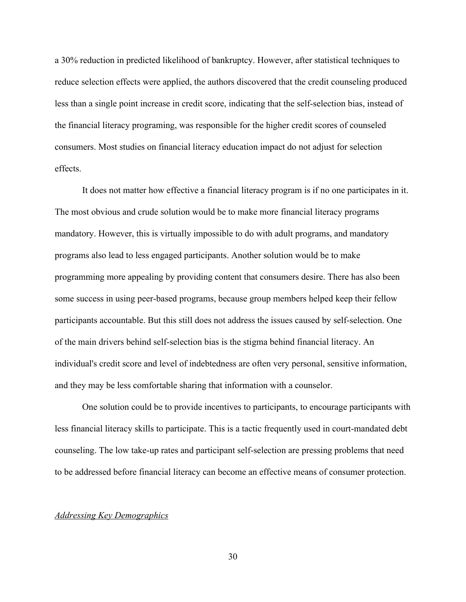a 30% reduction in predicted likelihood of bankruptcy. However, after statistical techniques to reduce selection effects were applied, the authors discovered that the credit counseling produced less than a single point increase in credit score, indicating that the self-selection bias, instead of the financial literacy programing, was responsible for the higher credit scores of counseled consumers. Most studies on financial literacy education impact do not adjust for selection effects.

It does not matter how effective a financial literacy program is if no one participates in it. The most obvious and crude solution would be to make more financial literacy programs mandatory. However, this is virtually impossible to do with adult programs, and mandatory programs also lead to less engaged participants. Another solution would be to make programming more appealing by providing content that consumers desire. There has also been some success in using peer-based programs, because group members helped keep their fellow participants accountable. But this still does not address the issues caused by self-selection. One of the main drivers behind self-selection bias is the stigma behind financial literacy. An individual's credit score and level of indebtedness are often very personal, sensitive information, and they may be less comfortable sharing that information with a counselor.

One solution could be to provide incentives to participants, to encourage participants with less financial literacy skills to participate. This is a tactic frequently used in court-mandated debt counseling. The low take-up rates and participant self-selection are pressing problems that need to be addressed before financial literacy can become an effective means of consumer protection.

# *Addressing Key Demographics*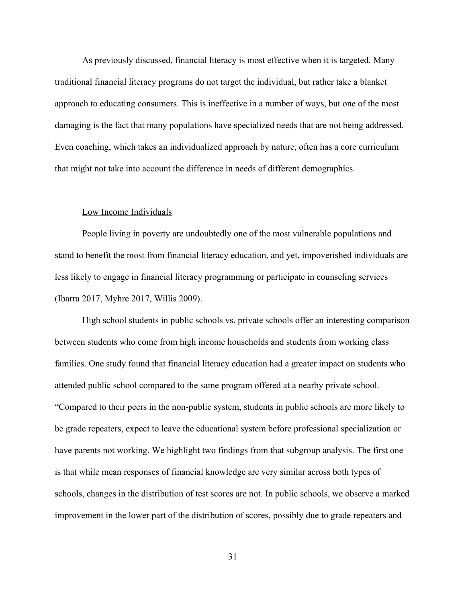As previously discussed, financial literacy is most effective when it is targeted. Many traditional financial literacy programs do not target the individual, but rather take a blanket approach to educating consumers. This is ineffective in a number of ways, but one of the most damaging is the fact that many populations have specialized needs that are not being addressed. Even coaching, which takes an individualized approach by nature, often has a core curriculum that might not take into account the difference in needs of different demographics.

#### Low Income Individuals

People living in poverty are undoubtedly one of the most vulnerable populations and stand to benefit the most from financial literacy education, and yet, impoverished individuals are less likely to engage in financial literacy programming or participate in counseling services (Ibarra 2017, Myhre 2017, Willis 2009).

High school students in public schools vs. private schools offer an interesting comparison between students who come from high income households and students from working class families. One study found that financial literacy education had a greater impact on students who attended public school compared to the same program offered at a nearby private school. "Compared to their peers in the non-public system, students in public schools are more likely to be grade repeaters, expect to leave the educational system before professional specialization or have parents not working. We highlight two findings from that subgroup analysis. The first one is that while mean responses of financial knowledge are very similar across both types of schools, changes in the distribution of test scores are not. In public schools, we observe a marked improvement in the lower part of the distribution of scores, possibly due to grade repeaters and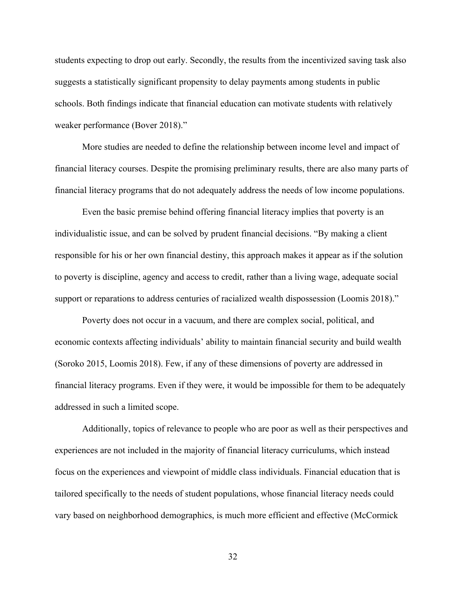students expecting to drop out early. Secondly, the results from the incentivized saving task also suggests a statistically significant propensity to delay payments among students in public schools. Both findings indicate that financial education can motivate students with relatively weaker performance (Bover 2018)."

More studies are needed to define the relationship between income level and impact of financial literacy courses. Despite the promising preliminary results, there are also many parts of financial literacy programs that do not adequately address the needs of low income populations.

Even the basic premise behind offering financial literacy implies that poverty is an individualistic issue, and can be solved by prudent financial decisions. "By making a client responsible for his or her own financial destiny, this approach makes it appear as if the solution to poverty is discipline, agency and access to credit, rather than a living wage, adequate social support or reparations to address centuries of racialized wealth dispossession (Loomis 2018)."

Poverty does not occur in a vacuum, and there are complex social, political, and economic contexts affecting individuals' ability to maintain financial security and build wealth (Soroko 2015, Loomis 2018). Few, if any of these dimensions of poverty are addressed in financial literacy programs. Even if they were, it would be impossible for them to be adequately addressed in such a limited scope.

Additionally, topics of relevance to people who are poor as well as their perspectives and experiences are not included in the majority of financial literacy curriculums, which instead focus on the experiences and viewpoint of middle class individuals. Financial education that is tailored specifically to the needs of student populations, whose financial literacy needs could vary based on neighborhood demographics, is much more efficient and effective (McCormick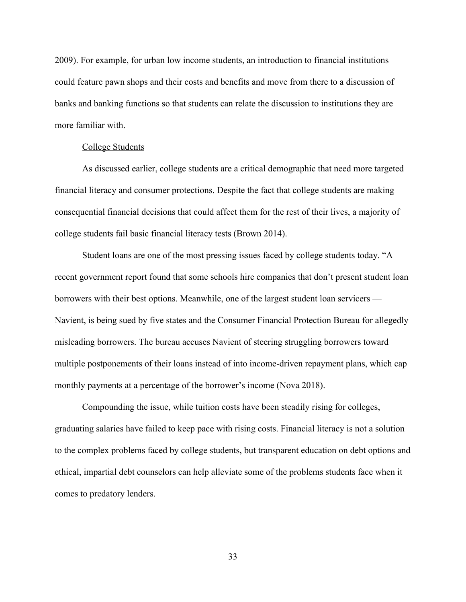2009). For example, for urban low income students, an introduction to financial institutions could feature pawn shops and their costs and benefits and move from there to a discussion of banks and banking functions so that students can relate the discussion to institutions they are more familiar with.

#### College Students

As discussed earlier, college students are a critical demographic that need more targeted financial literacy and consumer protections. Despite the fact that college students are making consequential financial decisions that could affect them for the rest of their lives, a majority of college students fail basic financial literacy tests (Brown 2014).

Student loans are one of the most pressing issues faced by college students today. "A recent government report found that some schools hire companies that don't present student loan borrowers with their best options. Meanwhile, one of the largest student loan servicers — Navient, is being sued by five states and the Consumer Financial Protection Bureau for allegedly misleading borrowers. The bureau accuses Navient of steering struggling borrowers toward multiple postponements of their loans instead of into income-driven repayment plans, which cap monthly payments at a percentage of the borrower's income (Nova 2018).

Compounding the issue, while tuition costs have been steadily rising for colleges, graduating salaries have failed to keep pace with rising costs. Financial literacy is not a solution to the complex problems faced by college students, but transparent education on debt options and ethical, impartial debt counselors can help alleviate some of the problems students face when it comes to predatory lenders.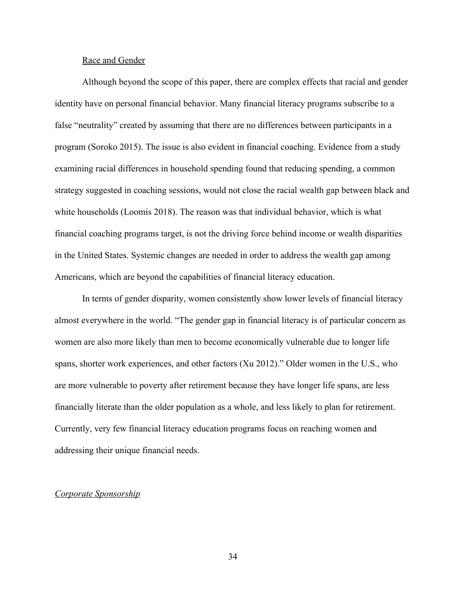#### Race and Gender

Although beyond the scope of this paper, there are complex effects that racial and gender identity have on personal financial behavior. Many financial literacy programs subscribe to a false "neutrality" created by assuming that there are no differences between participants in a program (Soroko 2015). The issue is also evident in financial coaching. Evidence from a study examining racial differences in household spending found that reducing spending, a common strategy suggested in coaching sessions, would not close the racial wealth gap between black and white households (Loomis 2018). The reason was that individual behavior, which is what financial coaching programs target, is not the driving force behind income or wealth disparities in the United States. Systemic changes are needed in order to address the wealth gap among Americans, which are beyond the capabilities of financial literacy education.

In terms of gender disparity, women consistently show lower levels of financial literacy almost everywhere in the world. "The gender gap in financial literacy is of particular concern as women are also more likely than men to become economically vulnerable due to longer life spans, shorter work experiences, and other factors (Xu 2012)." Older women in the U.S., who are more vulnerable to poverty after retirement because they have longer life spans, are less financially literate than the older population as a whole, and less likely to plan for retirement. Currently, very few financial literacy education programs focus on reaching women and addressing their unique financial needs.

# *Corporate Sponsorship*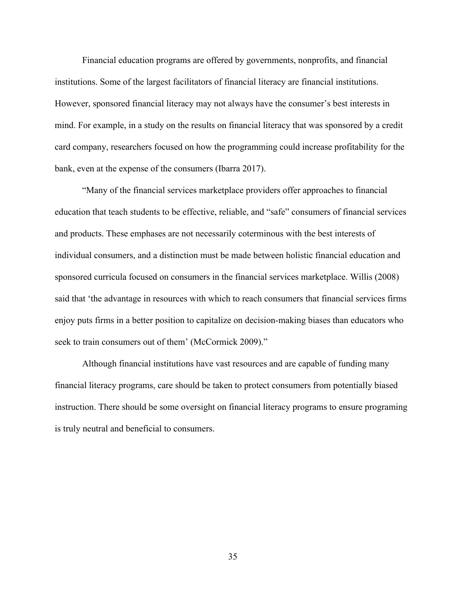Financial education programs are offered by governments, nonprofits, and financial institutions. Some of the largest facilitators of financial literacy are financial institutions. However, sponsored financial literacy may not always have the consumer's best interests in mind. For example, in a study on the results on financial literacy that was sponsored by a credit card company, researchers focused on how the programming could increase profitability for the bank, even at the expense of the consumers (Ibarra 2017).

"Many of the financial services marketplace providers offer approaches to financial education that teach students to be effective, reliable, and "safe" consumers of financial services and products. These emphases are not necessarily coterminous with the best interests of individual consumers, and a distinction must be made between holistic financial education and sponsored curricula focused on consumers in the financial services marketplace. Willis (2008) said that 'the advantage in resources with which to reach consumers that financial services firms enjoy puts firms in a better position to capitalize on decision-making biases than educators who seek to train consumers out of them' (McCormick 2009)."

Although financial institutions have vast resources and are capable of funding many financial literacy programs, care should be taken to protect consumers from potentially biased instruction. There should be some oversight on financial literacy programs to ensure programing is truly neutral and beneficial to consumers.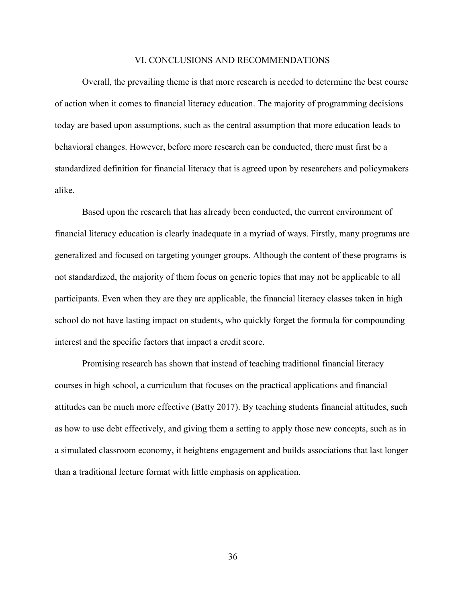#### VI. CONCLUSIONS AND RECOMMENDATIONS

Overall, the prevailing theme is that more research is needed to determine the best course of action when it comes to financial literacy education. The majority of programming decisions today are based upon assumptions, such as the central assumption that more education leads to behavioral changes. However, before more research can be conducted, there must first be a standardized definition for financial literacy that is agreed upon by researchers and policymakers alike.

Based upon the research that has already been conducted, the current environment of financial literacy education is clearly inadequate in a myriad of ways. Firstly, many programs are generalized and focused on targeting younger groups. Although the content of these programs is not standardized, the majority of them focus on generic topics that may not be applicable to all participants. Even when they are they are applicable, the financial literacy classes taken in high school do not have lasting impact on students, who quickly forget the formula for compounding interest and the specific factors that impact a credit score.

Promising research has shown that instead of teaching traditional financial literacy courses in high school, a curriculum that focuses on the practical applications and financial attitudes can be much more effective (Batty 2017). By teaching students financial attitudes, such as how to use debt effectively, and giving them a setting to apply those new concepts, such as in a simulated classroom economy, it heightens engagement and builds associations that last longer than a traditional lecture format with little emphasis on application.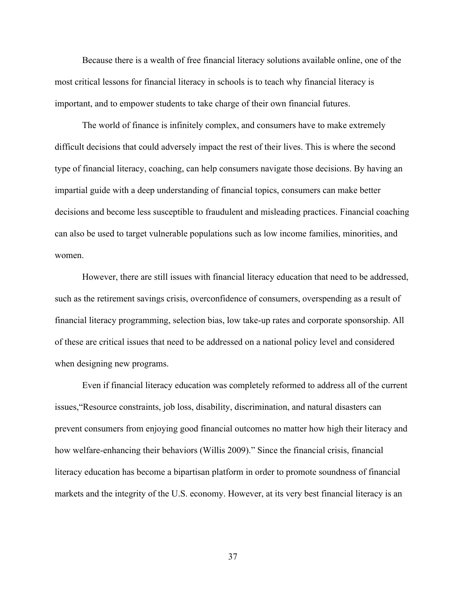Because there is a wealth of free financial literacy solutions available online, one of the most critical lessons for financial literacy in schools is to teach why financial literacy is important, and to empower students to take charge of their own financial futures.

The world of finance is infinitely complex, and consumers have to make extremely difficult decisions that could adversely impact the rest of their lives. This is where the second type of financial literacy, coaching, can help consumers navigate those decisions. By having an impartial guide with a deep understanding of financial topics, consumers can make better decisions and become less susceptible to fraudulent and misleading practices. Financial coaching can also be used to target vulnerable populations such as low income families, minorities, and women.

However, there are still issues with financial literacy education that need to be addressed, such as the retirement savings crisis, overconfidence of consumers, overspending as a result of financial literacy programming, selection bias, low take-up rates and corporate sponsorship. All of these are critical issues that need to be addressed on a national policy level and considered when designing new programs.

Even if financial literacy education was completely reformed to address all of the current issues,"Resource constraints, job loss, disability, discrimination, and natural disasters can prevent consumers from enjoying good financial outcomes no matter how high their literacy and how welfare-enhancing their behaviors (Willis 2009)." Since the financial crisis, financial literacy education has become a bipartisan platform in order to promote soundness of financial markets and the integrity of the U.S. economy. However, at its very best financial literacy is an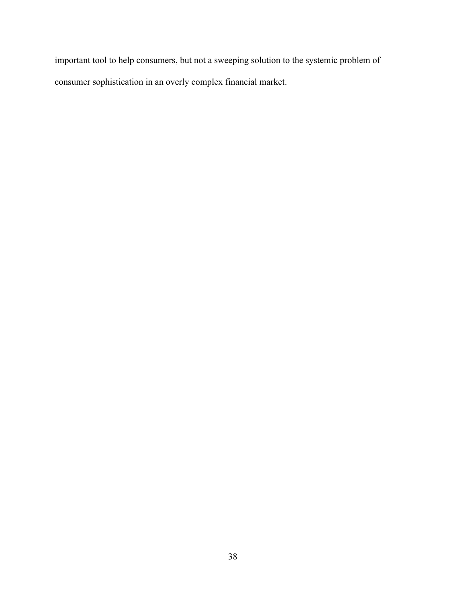important tool to help consumers, but not a sweeping solution to the systemic problem of consumer sophistication in an overly complex financial market.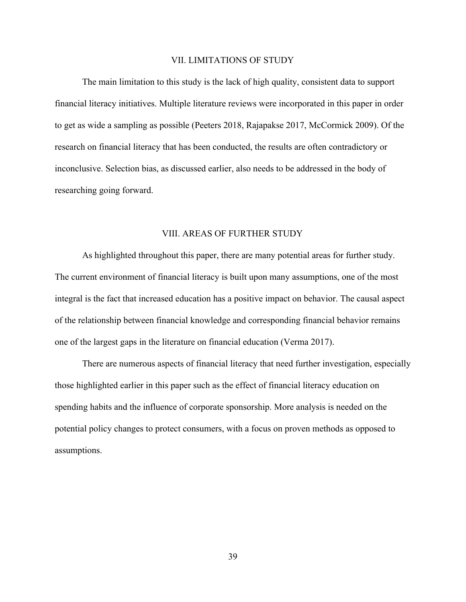#### VII. LIMITATIONS OF STUDY

The main limitation to this study is the lack of high quality, consistent data to support financial literacy initiatives. Multiple literature reviews were incorporated in this paper in order to get as wide a sampling as possible (Peeters 2018, Rajapakse 2017, McCormick 2009). Of the research on financial literacy that has been conducted, the results are often contradictory or inconclusive. Selection bias, as discussed earlier, also needs to be addressed in the body of researching going forward.

#### VIII. AREAS OF FURTHER STUDY

As highlighted throughout this paper, there are many potential areas for further study. The current environment of financial literacy is built upon many assumptions, one of the most integral is the fact that increased education has a positive impact on behavior. The causal aspect of the relationship between financial knowledge and corresponding financial behavior remains one of the largest gaps in the literature on financial education (Verma 2017).

There are numerous aspects of financial literacy that need further investigation, especially those highlighted earlier in this paper such as the effect of financial literacy education on spending habits and the influence of corporate sponsorship. More analysis is needed on the potential policy changes to protect consumers, with a focus on proven methods as opposed to assumptions.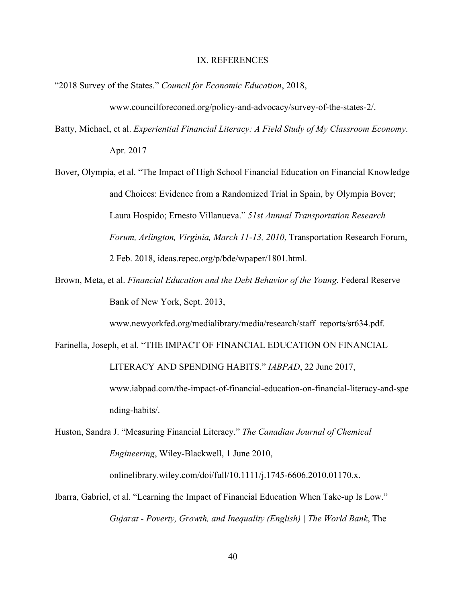#### IX. REFERENCES

"2018 Survey of the States." *Council for Economic Education*, 2018,

www.councilforeconed.org/policy-and-advocacy/survey-of-the-states-2/.

Batty, Michael, et al. *Experiential Financial Literacy: A Field Study of My Classroom Economy*. Apr. 2017

Bover, Olympia, et al. "The Impact of High School Financial Education on Financial Knowledge and Choices: Evidence from a Randomized Trial in Spain, by Olympia Bover; Laura Hospido; Ernesto Villanueva." *51st Annual Transportation Research Forum, Arlington, Virginia, March 11-13, 2010*, Transportation Research Forum, 2 Feb. 2018, ideas.repec.org/p/bde/wpaper/1801.html.

Brown, Meta, et al. *Financial Education and the Debt Behavior of the Young*. Federal Reserve Bank of New York, Sept. 2013,

www.newyorkfed.org/medialibrary/media/research/staff\_reports/sr634.pdf.

Farinella, Joseph, et al. "THE IMPACT OF FINANCIAL EDUCATION ON FINANCIAL

LITERACY AND SPENDING HABITS." *IABPAD*, 22 June 2017, www.iabpad.com/the-impact-of-financial-education-on-financial-literacy-and-spe

nding-habits/.

Huston, Sandra J. "Measuring Financial Literacy." *The Canadian Journal of Chemical Engineering*, Wiley-Blackwell, 1 June 2010,

onlinelibrary.wiley.com/doi/full/10.1111/j.1745-6606.2010.01170.x.

Ibarra, Gabriel, et al. "Learning the Impact of Financial Education When Take-up Is Low." *Gujarat - Poverty, Growth, and Inequality (English) | The World Bank*, The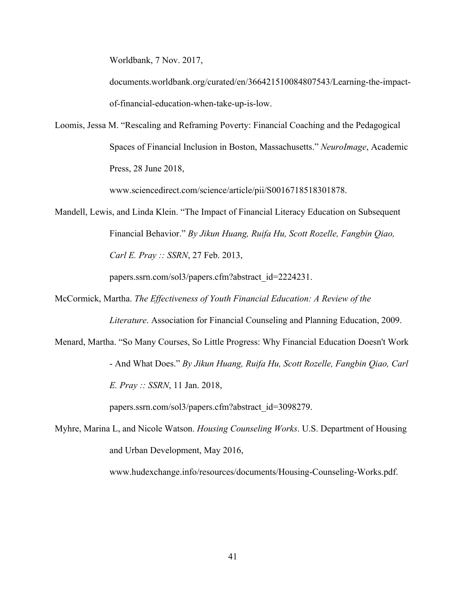Worldbank, 7 Nov. 2017,

documents.worldbank.org/curated/en/366421510084807543/Learning-the-impactof-financial-education-when-take-up-is-low.

Loomis, Jessa M. "Rescaling and Reframing Poverty: Financial Coaching and the Pedagogical Spaces of Financial Inclusion in Boston, Massachusetts." *NeuroImage*, Academic Press, 28 June 2018,

www.sciencedirect.com/science/article/pii/S0016718518301878.

Mandell, Lewis, and Linda Klein. "The Impact of Financial Literacy Education on Subsequent Financial Behavior." *By Jikun Huang, Ruifa Hu, Scott Rozelle, Fangbin Qiao, Carl E. Pray :: SSRN*, 27 Feb. 2013,

papers.ssrn.com/sol3/papers.cfm?abstract\_id=2224231.

McCormick, Martha. *The Effectiveness of Youth Financial Education: A Review of the*

*Literature*. Association for Financial Counseling and Planning Education, 2009.

Menard, Martha. "So Many Courses, So Little Progress: Why Financial Education Doesn't Work - And What Does." *By Jikun Huang, Ruifa Hu, Scott Rozelle, Fangbin Qiao, Carl E. Pray :: SSRN*, 11 Jan. 2018,

papers.ssrn.com/sol3/papers.cfm?abstract\_id=3098279.

Myhre, Marina L, and Nicole Watson. *Housing Counseling Works*. U.S. Department of Housing and Urban Development, May 2016,

www.hudexchange.info/resources/documents/Housing-Counseling-Works.pdf.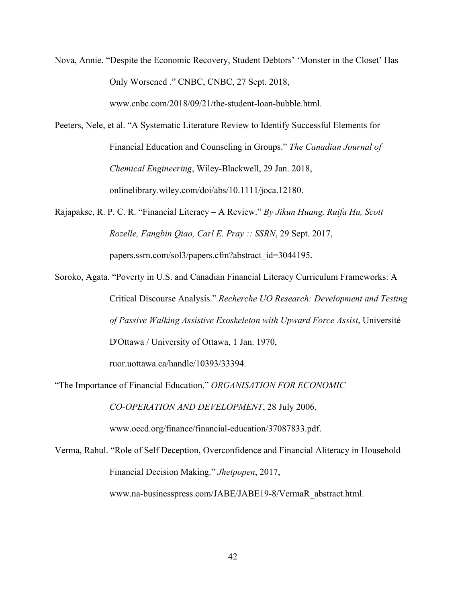Nova, Annie. "Despite the Economic Recovery, Student Debtors' 'Monster in the Closet' Has Only Worsened ." CNBC, CNBC, 27 Sept. 2018,

www.cnbc.com/2018/09/21/the-student-loan-bubble.html.

- Peeters, Nele, et al. "A Systematic Literature Review to Identify Successful Elements for Financial Education and Counseling in Groups." *The Canadian Journal of Chemical Engineering*, Wiley-Blackwell, 29 Jan. 2018, onlinelibrary.wiley.com/doi/abs/10.1111/joca.12180.
- Rajapakse, R. P. C. R. "Financial Literacy A Review." *By Jikun Huang, Ruifa Hu, Scott Rozelle, Fangbin Qiao, Carl E. Pray :: SSRN*, 29 Sept. 2017, papers.ssrn.com/sol3/papers.cfm?abstract\_id=3044195.
- Soroko, Agata. "Poverty in U.S. and Canadian Financial Literacy Curriculum Frameworks: A Critical Discourse Analysis." *Recherche UO Research: Development and Testing of Passive Walking Assistive Exoskeleton with Upward Force Assist*, Université D'Ottawa / University of Ottawa, 1 Jan. 1970, ruor.uottawa.ca/handle/10393/33394.
- "The Importance of Financial Education." *ORGANISATION FOR ECONOMIC*

*CO-OPERATION AND DEVELOPMENT*, 28 July 2006,

www.oecd.org/finance/financial-education/37087833.pdf.

Verma, Rahul. "Role of Self Deception, Overconfidence and Financial Aliteracy in Household Financial Decision Making." *Jhetpopen*, 2017, www.na-businesspress.com/JABE/JABE19-8/VermaR\_abstract.html.